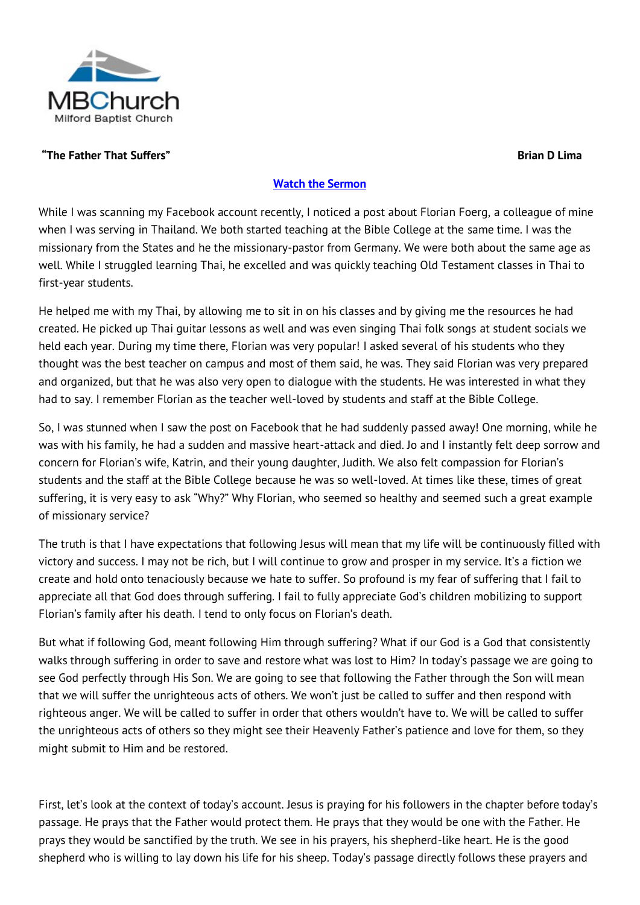

### **"The Father That Suffers" Brian D Lima**

#### **[Watch the Sermon](http://www.viewpure.com/onZHFitOZX4?start=0&end=0)**

While I was scanning my Facebook account recently, I noticed a post about Florian Foerg, a colleague of mine when I was serving in Thailand. We both started teaching at the Bible College at the same time. I was the missionary from the States and he the missionary-pastor from Germany. We were both about the same age as well. While I struggled learning Thai, he excelled and was quickly teaching Old Testament classes in Thai to first-year students.

He helped me with my Thai, by allowing me to sit in on his classes and by giving me the resources he had created. He picked up Thai guitar lessons as well and was even singing Thai folk songs at student socials we held each year. During my time there, Florian was very popular! I asked several of his students who they thought was the best teacher on campus and most of them said, he was. They said Florian was very prepared and organized, but that he was also very open to dialogue with the students. He was interested in what they had to say. I remember Florian as the teacher well-loved by students and staff at the Bible College.

So, I was stunned when I saw the post on Facebook that he had suddenly passed away! One morning, while he was with his family, he had a sudden and massive heart-attack and died. Jo and I instantly felt deep sorrow and concern for Florian's wife, Katrin, and their young daughter, Judith. We also felt compassion for Florian's students and the staff at the Bible College because he was so well-loved. At times like these, times of great suffering, it is very easy to ask "Why?" Why Florian, who seemed so healthy and seemed such a great example of missionary service?

The truth is that I have expectations that following Jesus will mean that my life will be continuously filled with victory and success. I may not be rich, but I will continue to grow and prosper in my service. It's a fiction we create and hold onto tenaciously because we hate to suffer. So profound is my fear of suffering that I fail to appreciate all that God does through suffering. I fail to fully appreciate God's children mobilizing to support Florian's family after his death. I tend to only focus on Florian's death.

But what if following God, meant following Him through suffering? What if our God is a God that consistently walks through suffering in order to save and restore what was lost to Him? In today's passage we are going to see God perfectly through His Son. We are going to see that following the Father through the Son will mean that we will suffer the unrighteous acts of others. We won't just be called to suffer and then respond with righteous anger. We will be called to suffer in order that others wouldn't have to. We will be called to suffer the unrighteous acts of others so they might see their Heavenly Father's patience and love for them, so they might submit to Him and be restored.

First, let's look at the context of today's account. Jesus is praying for his followers in the chapter before today's passage. He prays that the Father would protect them. He prays that they would be one with the Father. He prays they would be sanctified by the truth. We see in his prayers, his shepherd-like heart. He is the good shepherd who is willing to lay down his life for his sheep. Today's passage directly follows these prayers and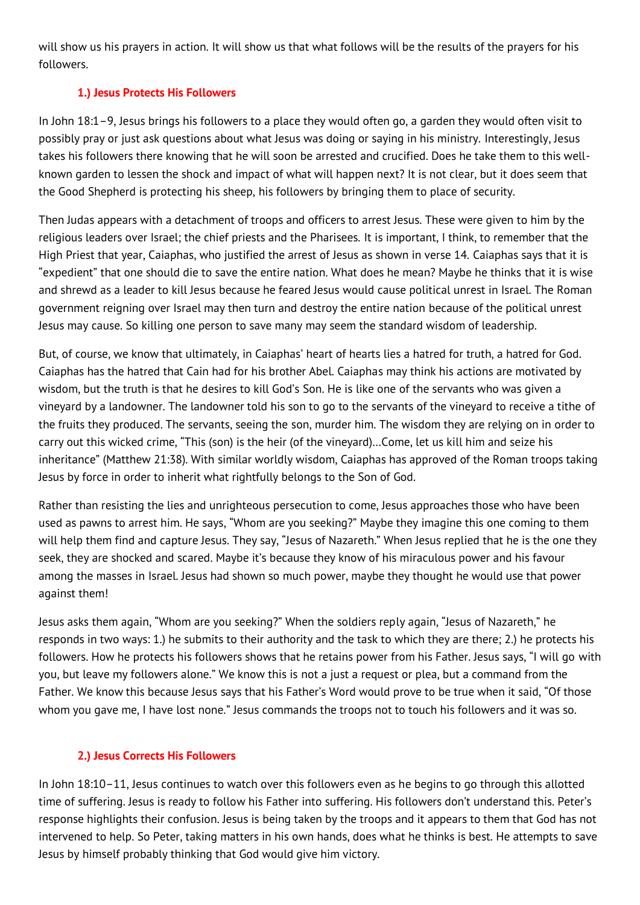will show us his prayers in action. It will show us that what follows will be the results of the prayers for his followers.

## **1.) Jesus Protects His Followers**

In John 18:1–9, Jesus brings his followers to a place they would often go, a garden they would often visit to possibly pray or just ask questions about what Jesus was doing or saying in his ministry. Interestingly, Jesus takes his followers there knowing that he will soon be arrested and crucified. Does he take them to this wellknown garden to lessen the shock and impact of what will happen next? It is not clear, but it does seem that the Good Shepherd is protecting his sheep, his followers by bringing them to place of security.

Then Judas appears with a detachment of troops and officers to arrest Jesus. These were given to him by the religious leaders over Israel; the chief priests and the Pharisees. It is important, I think, to remember that the High Priest that year, Caiaphas, who justified the arrest of Jesus as shown in verse 14. Caiaphas says that it is "expedient" that one should die to save the entire nation. What does he mean? Maybe he thinks that it is wise and shrewd as a leader to kill Jesus because he feared Jesus would cause political unrest in Israel. The Roman government reigning over Israel may then turn and destroy the entire nation because of the political unrest Jesus may cause. So killing one person to save many may seem the standard wisdom of leadership.

But, of course, we know that ultimately, in Caiaphas' heart of hearts lies a hatred for truth, a hatred for God. Caiaphas has the hatred that Cain had for his brother Abel. Caiaphas may think his actions are motivated by wisdom, but the truth is that he desires to kill God's Son. He is like one of the servants who was given a vineyard by a landowner. The landowner told his son to go to the servants of the vineyard to receive a tithe of the fruits they produced. The servants, seeing the son, murder him. The wisdom they are relying on in order to carry out this wicked crime, "This (son) is the heir (of the vineyard)…Come, let us kill him and seize his inheritance" (Matthew 21:38). With similar worldly wisdom, Caiaphas has approved of the Roman troops taking Jesus by force in order to inherit what rightfully belongs to the Son of God.

Rather than resisting the lies and unrighteous persecution to come, Jesus approaches those who have been used as pawns to arrest him. He says, "Whom are you seeking?" Maybe they imagine this one coming to them will help them find and capture Jesus. They say, "Jesus of Nazareth." When Jesus replied that he is the one they seek, they are shocked and scared. Maybe it's because they know of his miraculous power and his favour among the masses in Israel. Jesus had shown so much power, maybe they thought he would use that power against them!

Jesus asks them again, "Whom are you seeking?" When the soldiers reply again, "Jesus of Nazareth," he responds in two ways: 1.) he submits to their authority and the task to which they are there; 2.) he protects his followers. How he protects his followers shows that he retains power from his Father. Jesus says, "I will go with you, but leave my followers alone." We know this is not a just a request or plea, but a command from the Father. We know this because Jesus says that his Father's Word would prove to be true when it said, "Of those whom you gave me, I have lost none." Jesus commands the troops not to touch his followers and it was so.

## **2.) Jesus Corrects His Followers**

In John 18:10–11, Jesus continues to watch over this followers even as he begins to go through this allotted time of suffering. Jesus is ready to follow his Father into suffering. His followers don't understand this. Peter's response highlights their confusion. Jesus is being taken by the troops and it appears to them that God has not intervened to help. So Peter, taking matters in his own hands, does what he thinks is best. He attempts to save Jesus by himself probably thinking that God would give him victory.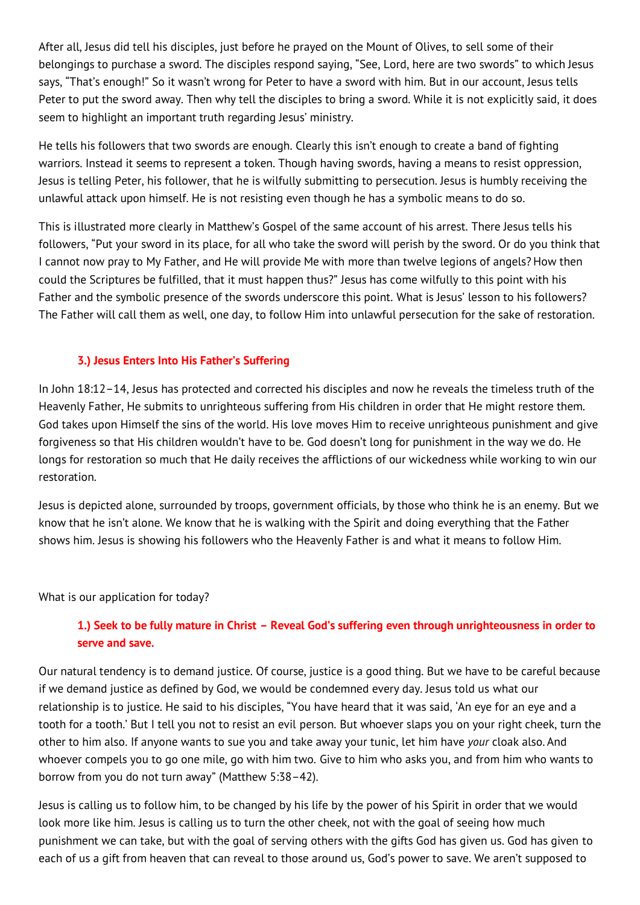After all, Jesus did tell his disciples, just before he prayed on the Mount of Olives, to sell some of their belongings to purchase a sword. The disciples respond saying, "See, Lord, here are two swords" to which Jesus says, "That's enough!" So it wasn't wrong for Peter to have a sword with him. But in our account, Jesus tells Peter to put the sword away. Then why tell the disciples to bring a sword. While it is not explicitly said, it does seem to highlight an important truth regarding Jesus' ministry.

He tells his followers that two swords are enough. Clearly this isn't enough to create a band of fighting warriors. Instead it seems to represent a token. Though having swords, having a means to resist oppression, Jesus is telling Peter, his follower, that he is wilfully submitting to persecution. Jesus is humbly receiving the unlawful attack upon himself. He is not resisting even though he has a symbolic means to do so.

This is illustrated more clearly in Matthew's Gospel of the same account of his arrest. There Jesus tells his followers, "Put your sword in its place, for all who take the sword will perish by the sword. Or do you think that I cannot now pray to My Father, and He will provide Me with more than twelve legions of angels? How then could the Scriptures be fulfilled, that it must happen thus?" Jesus has come wilfully to this point with his Father and the symbolic presence of the swords underscore this point. What is Jesus' lesson to his followers? The Father will call them as well, one day, to follow Him into unlawful persecution for the sake of restoration.

#### **3.) Jesus Enters Into His Father's Suffering**

In John 18:12–14, Jesus has protected and corrected his disciples and now he reveals the timeless truth of the Heavenly Father, He submits to unrighteous suffering from His children in order that He might restore them. God takes upon Himself the sins of the world. His love moves Him to receive unrighteous punishment and give forgiveness so that His children wouldn't have to be. God doesn't long for punishment in the way we do. He longs for restoration so much that He daily receives the afflictions of our wickedness while working to win our restoration.

Jesus is depicted alone, surrounded by troops, government officials, by those who think he is an enemy. But we know that he isn't alone. We know that he is walking with the Spirit and doing everything that the Father shows him. Jesus is showing his followers who the Heavenly Father is and what it means to follow Him.

What is our application for today?

# **1.) Seek to be fully mature in Christ – Reveal God's suffering even through unrighteousness in order to serve and save.**

Our natural tendency is to demand justice. Of course, justice is a good thing. But we have to be careful because if we demand justice as defined by God, we would be condemned every day. Jesus told us what our relationship is to justice. He said to his disciples, "You have heard that it was said, 'An eye for an eye and a tooth for a tooth.' But I tell you not to resist an evil person. But whoever slaps you on your right cheek, turn the other to him also. If anyone wants to sue you and take away your tunic, let him have *your* cloak also. And whoever compels you to go one mile, go with him two. Give to him who asks you, and from him who wants to borrow from you do not turn away" (Matthew 5:38–42).

Jesus is calling us to follow him, to be changed by his life by the power of his Spirit in order that we would look more like him. Jesus is calling us to turn the other cheek, not with the goal of seeing how much punishment we can take, but with the goal of serving others with the gifts God has given us. God has given to each of us a gift from heaven that can reveal to those around us, God's power to save. We aren't supposed to